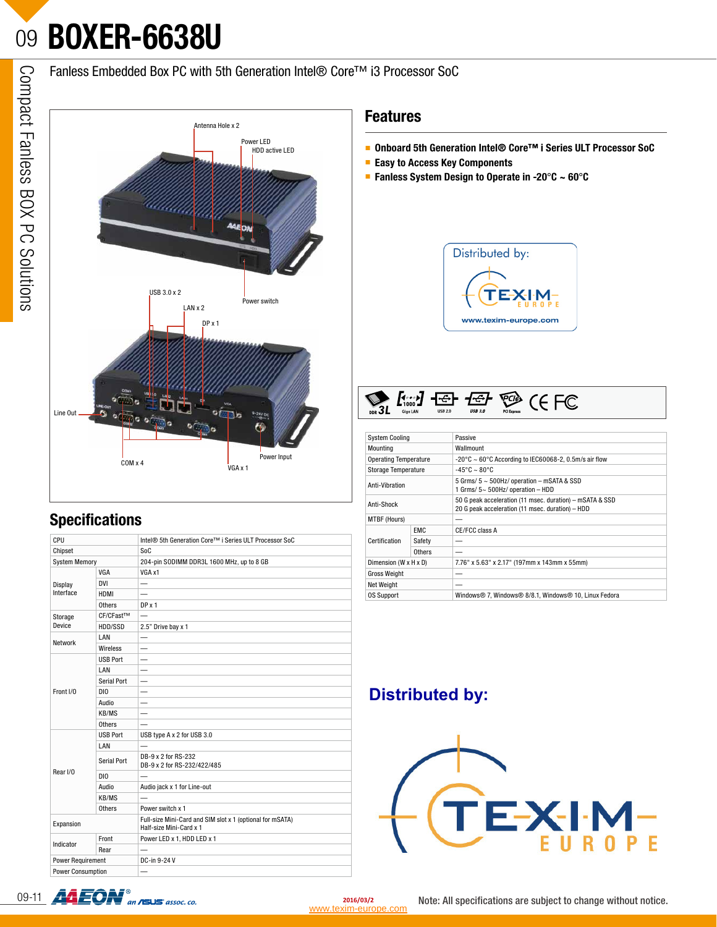## 09**BOXER-6638U**

Fanless Embedded Box PC with 5th Generation Intel® Core™ i3 Processor SoC



## **Specifications**

| CPU                      |                 | Intel <sup>®</sup> 5th Generation Core™ i Series ULT Processor SoC                   |  |  |  |  |
|--------------------------|-----------------|--------------------------------------------------------------------------------------|--|--|--|--|
| Chipset                  |                 | SoC                                                                                  |  |  |  |  |
| <b>System Memory</b>     |                 | 204-pin SODIMM DDR3L 1600 MHz, up to 8 GB                                            |  |  |  |  |
|                          | VGA             | VGA x1                                                                               |  |  |  |  |
| Display<br>Interface     | <b>DVI</b>      |                                                                                      |  |  |  |  |
|                          | <b>HDMI</b>     |                                                                                      |  |  |  |  |
|                          | Others          | DP x 1                                                                               |  |  |  |  |
| Storage                  | CF/CFast™       |                                                                                      |  |  |  |  |
| Device                   | HDD/SSD         | 2.5" Drive bay x 1                                                                   |  |  |  |  |
| Network                  | LAN             |                                                                                      |  |  |  |  |
|                          | Wireless        |                                                                                      |  |  |  |  |
|                          | <b>USB Port</b> |                                                                                      |  |  |  |  |
| Front I/O                | LAN             |                                                                                      |  |  |  |  |
|                          | Serial Port     |                                                                                      |  |  |  |  |
|                          | DI0             |                                                                                      |  |  |  |  |
|                          | Audio           |                                                                                      |  |  |  |  |
|                          | KB/MS           |                                                                                      |  |  |  |  |
|                          | Others          |                                                                                      |  |  |  |  |
|                          | <b>USB Port</b> | USB type A x 2 for USB 3.0                                                           |  |  |  |  |
|                          | LAN             |                                                                                      |  |  |  |  |
|                          | Serial Port     | DB-9 x 2 for RS-232<br>DB-9 x 2 for RS-232/422/485                                   |  |  |  |  |
| Rear I/O                 | DI0             |                                                                                      |  |  |  |  |
|                          | Audio           | Audio jack x 1 for Line-out                                                          |  |  |  |  |
|                          | KB/MS           |                                                                                      |  |  |  |  |
|                          | Others          | Power switch x 1                                                                     |  |  |  |  |
| Expansion                |                 | Full-size Mini-Card and SIM slot x 1 (optional for mSATA)<br>Half-size Mini-Card x 1 |  |  |  |  |
| Indicator                | Front           | Power LED x 1, HDD LED x 1                                                           |  |  |  |  |
|                          | Rear            |                                                                                      |  |  |  |  |
| Power Requirement        |                 | DC-in 9-24 V                                                                         |  |  |  |  |
| <b>Power Consumption</b> |                 |                                                                                      |  |  |  |  |

### **Features**

- **Onboard 5th Generation Intel® Core™ i Series ULT Processor SoC**
- **Easy to Access Key Components**
- **Fanless System Design to Operate in -20**°**C ~ 60**°**C**





| <b>System Cooling</b>        |            | Passive                                                                                                      |  |  |  |  |  |
|------------------------------|------------|--------------------------------------------------------------------------------------------------------------|--|--|--|--|--|
| Mounting                     |            | Wallmount                                                                                                    |  |  |  |  |  |
| <b>Operating Temperature</b> |            | $-20^{\circ}$ C ~ 60°C According to IEC60068-2, 0.5m/s air flow                                              |  |  |  |  |  |
| Storage Temperature          |            | $-45^{\circ}$ C ~ 80 $^{\circ}$ C                                                                            |  |  |  |  |  |
| Anti-Vibration               |            | 5 Grms/ 5 ~ 500Hz/ operation - mSATA & SSD<br>1 Grms/ 5~ 500Hz/ operation - HDD                              |  |  |  |  |  |
| Anti-Shock                   |            | 50 G peak acceleration (11 msec. duration) - mSATA & SSD<br>20 G peak acceleration (11 msec. duration) - HDD |  |  |  |  |  |
| MTBF (Hours)                 |            |                                                                                                              |  |  |  |  |  |
| Certification                | <b>EMC</b> | CE/FCC class A                                                                                               |  |  |  |  |  |
|                              | Safety     |                                                                                                              |  |  |  |  |  |
|                              | Others     |                                                                                                              |  |  |  |  |  |
| Dimension (W x H x D)        |            | 7.76" x 5.63" x 2.17" (197mm x 143mm x 55mm)                                                                 |  |  |  |  |  |
| <b>Gross Weight</b>          |            |                                                                                                              |  |  |  |  |  |
| Net Weight                   |            |                                                                                                              |  |  |  |  |  |
| <b>OS Support</b>            |            | Windows® 7, Windows® 8/8.1, Windows® 10, Linux Fedora                                                        |  |  |  |  |  |

## **Distributed by:**